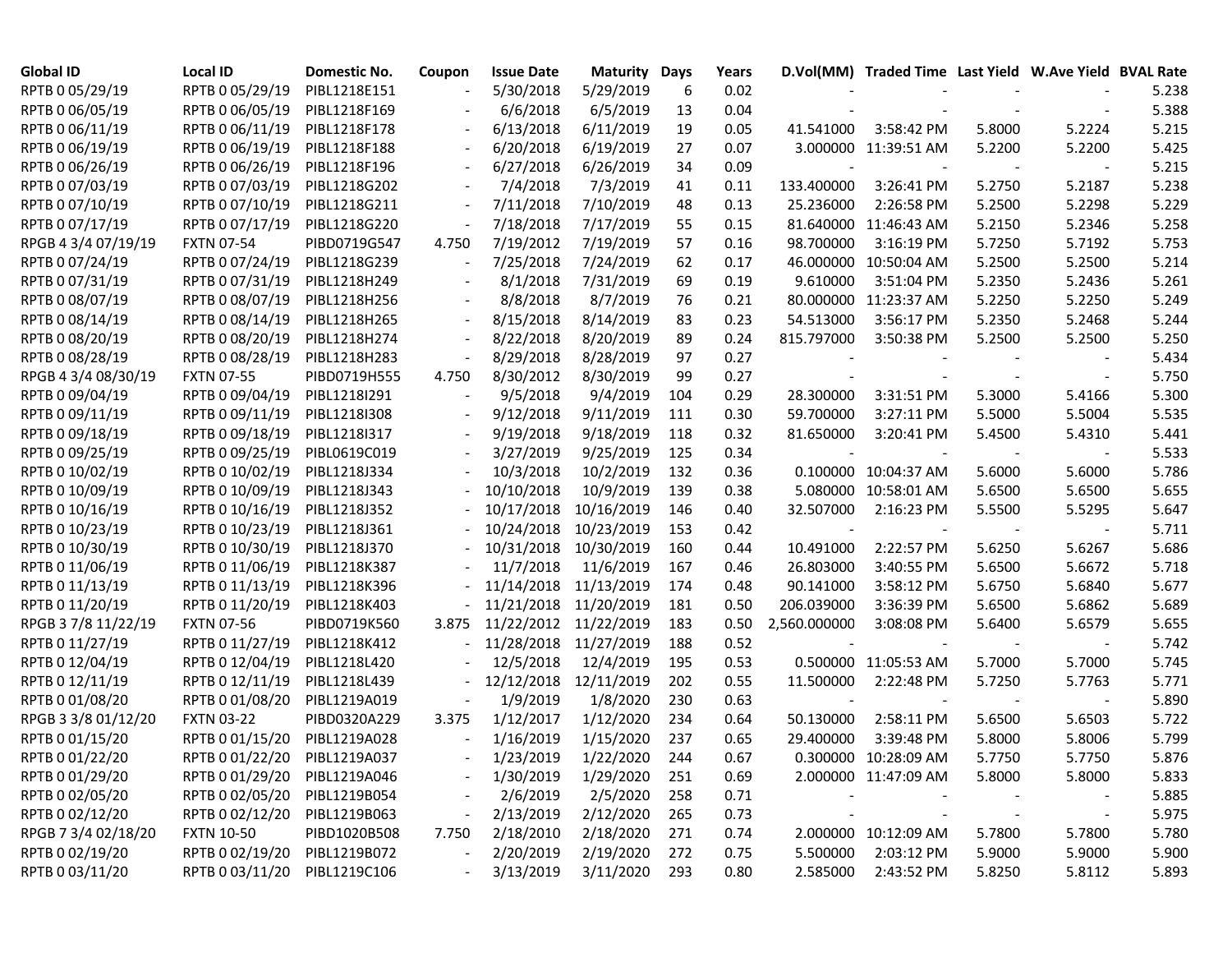| <b>Global ID</b>    | <b>Local ID</b>   | Domestic No. | Coupon                   | <b>Issue Date</b> | <b>Maturity Days</b> |     | Years |                          | D.Vol(MM) Traded Time Last Yield W.Ave Yield BVAL Rate |        |                          |       |
|---------------------|-------------------|--------------|--------------------------|-------------------|----------------------|-----|-------|--------------------------|--------------------------------------------------------|--------|--------------------------|-------|
| RPTB 0 05/29/19     | RPTB 0 05/29/19   | PIBL1218E151 |                          | 5/30/2018         | 5/29/2019            | 6   | 0.02  |                          |                                                        |        |                          | 5.238 |
| RPTB 0 06/05/19     | RPTB 0 06/05/19   | PIBL1218F169 |                          | 6/6/2018          | 6/5/2019             | 13  | 0.04  |                          |                                                        |        |                          | 5.388 |
| RPTB 0 06/11/19     | RPTB 0 06/11/19   | PIBL1218F178 |                          | 6/13/2018         | 6/11/2019            | 19  | 0.05  | 41.541000                | 3:58:42 PM                                             | 5.8000 | 5.2224                   | 5.215 |
| RPTB 0 06/19/19     | RPTB 0 06/19/19   | PIBL1218F188 |                          | 6/20/2018         | 6/19/2019            | 27  | 0.07  |                          | 3.000000 11:39:51 AM                                   | 5.2200 | 5.2200                   | 5.425 |
| RPTB 0 06/26/19     | RPTB 0 06/26/19   | PIBL1218F196 |                          | 6/27/2018         | 6/26/2019            | 34  | 0.09  |                          |                                                        |        |                          | 5.215 |
| RPTB 0 07/03/19     | RPTB 0 07/03/19   | PIBL1218G202 |                          | 7/4/2018          | 7/3/2019             | 41  | 0.11  | 133.400000               | 3:26:41 PM                                             | 5.2750 | 5.2187                   | 5.238 |
| RPTB 0 07/10/19     | RPTB 0 07/10/19   | PIBL1218G211 |                          | 7/11/2018         | 7/10/2019            | 48  | 0.13  | 25.236000                | 2:26:58 PM                                             | 5.2500 | 5.2298                   | 5.229 |
| RPTB 0 07/17/19     | RPTB 0 07/17/19   | PIBL1218G220 |                          | 7/18/2018         | 7/17/2019            | 55  | 0.15  |                          | 81.640000 11:46:43 AM                                  | 5.2150 | 5.2346                   | 5.258 |
| RPGB 4 3/4 07/19/19 | <b>FXTN 07-54</b> | PIBD0719G547 | 4.750                    | 7/19/2012         | 7/19/2019            | 57  | 0.16  | 98.700000                | 3:16:19 PM                                             | 5.7250 | 5.7192                   | 5.753 |
| RPTB 0 07/24/19     | RPTB 0 07/24/19   | PIBL1218G239 |                          | 7/25/2018         | 7/24/2019            | 62  | 0.17  |                          | 46.000000 10:50:04 AM                                  | 5.2500 | 5.2500                   | 5.214 |
| RPTB 0 07/31/19     | RPTB 0 07/31/19   | PIBL1218H249 |                          | 8/1/2018          | 7/31/2019            | 69  | 0.19  | 9.610000                 | 3:51:04 PM                                             | 5.2350 | 5.2436                   | 5.261 |
| RPTB 0 08/07/19     | RPTB 0 08/07/19   | PIBL1218H256 |                          | 8/8/2018          | 8/7/2019             | 76  | 0.21  |                          | 80.000000 11:23:37 AM                                  | 5.2250 | 5.2250                   | 5.249 |
| RPTB 0 08/14/19     | RPTB 0 08/14/19   | PIBL1218H265 |                          | 8/15/2018         | 8/14/2019            | 83  | 0.23  | 54.513000                | 3:56:17 PM                                             | 5.2350 | 5.2468                   | 5.244 |
| RPTB 0 08/20/19     | RPTB 0 08/20/19   | PIBL1218H274 |                          | 8/22/2018         | 8/20/2019            | 89  | 0.24  | 815.797000               | 3:50:38 PM                                             | 5.2500 | 5.2500                   | 5.250 |
| RPTB 0 08/28/19     | RPTB 0 08/28/19   | PIBL1218H283 |                          | 8/29/2018         | 8/28/2019            | 97  | 0.27  |                          |                                                        |        |                          | 5.434 |
| RPGB 4 3/4 08/30/19 | <b>FXTN 07-55</b> | PIBD0719H555 | 4.750                    | 8/30/2012         | 8/30/2019            | 99  | 0.27  |                          |                                                        |        |                          | 5.750 |
| RPTB 0 09/04/19     | RPTB 0 09/04/19   | PIBL1218I291 |                          | 9/5/2018          | 9/4/2019             | 104 | 0.29  | 28.300000                | 3:31:51 PM                                             | 5.3000 | 5.4166                   | 5.300 |
| RPTB 0 09/11/19     | RPTB 0 09/11/19   | PIBL1218I308 |                          | 9/12/2018         | 9/11/2019            | 111 | 0.30  | 59.700000                | 3:27:11 PM                                             | 5.5000 | 5.5004                   | 5.535 |
| RPTB 0 09/18/19     | RPTB 0 09/18/19   | PIBL1218I317 |                          | 9/19/2018         | 9/18/2019            | 118 | 0.32  | 81.650000                | 3:20:41 PM                                             | 5.4500 | 5.4310                   | 5.441 |
| RPTB 0 09/25/19     | RPTB 0 09/25/19   | PIBL0619C019 |                          | 3/27/2019         | 9/25/2019            | 125 | 0.34  | $\blacksquare$           | $\overline{\phantom{a}}$                               |        |                          | 5.533 |
| RPTB 0 10/02/19     | RPTB 0 10/02/19   | PIBL1218J334 |                          | 10/3/2018         | 10/2/2019            | 132 | 0.36  |                          | 0.100000 10:04:37 AM                                   | 5.6000 | 5.6000                   | 5.786 |
| RPTB 0 10/09/19     | RPTB 0 10/09/19   | PIBL1218J343 |                          | 10/10/2018        | 10/9/2019            | 139 | 0.38  |                          | 5.080000 10:58:01 AM                                   | 5.6500 | 5.6500                   | 5.655 |
| RPTB 0 10/16/19     | RPTB 0 10/16/19   | PIBL1218J352 |                          | 10/17/2018        | 10/16/2019           | 146 | 0.40  | 32.507000                | 2:16:23 PM                                             | 5.5500 | 5.5295                   | 5.647 |
| RPTB 0 10/23/19     | RPTB 0 10/23/19   | PIBL1218J361 |                          | 10/24/2018        | 10/23/2019           | 153 | 0.42  | $\overline{\phantom{a}}$ |                                                        |        |                          | 5.711 |
| RPTB 0 10/30/19     | RPTB 0 10/30/19   | PIBL1218J370 |                          | 10/31/2018        | 10/30/2019           | 160 | 0.44  | 10.491000                | 2:22:57 PM                                             | 5.6250 | 5.6267                   | 5.686 |
| RPTB 0 11/06/19     | RPTB 0 11/06/19   | PIBL1218K387 |                          | 11/7/2018         | 11/6/2019            | 167 | 0.46  | 26.803000                | 3:40:55 PM                                             | 5.6500 | 5.6672                   | 5.718 |
| RPTB 0 11/13/19     | RPTB 0 11/13/19   | PIBL1218K396 |                          | 11/14/2018        | 11/13/2019           | 174 | 0.48  | 90.141000                | 3:58:12 PM                                             | 5.6750 | 5.6840                   | 5.677 |
| RPTB 0 11/20/19     | RPTB 0 11/20/19   | PIBL1218K403 |                          | 11/21/2018        | 11/20/2019           | 181 | 0.50  | 206.039000               | 3:36:39 PM                                             | 5.6500 | 5.6862                   | 5.689 |
| RPGB 37/8 11/22/19  | <b>FXTN 07-56</b> | PIBD0719K560 | 3.875                    | 11/22/2012        | 11/22/2019           | 183 | 0.50  | 2,560.000000             | 3:08:08 PM                                             | 5.6400 | 5.6579                   | 5.655 |
| RPTB 0 11/27/19     | RPTB 0 11/27/19   | PIBL1218K412 |                          | 11/28/2018        | 11/27/2019           | 188 | 0.52  |                          |                                                        |        |                          | 5.742 |
| RPTB 0 12/04/19     | RPTB 0 12/04/19   | PIBL1218L420 |                          | 12/5/2018         | 12/4/2019            | 195 | 0.53  |                          | 0.500000 11:05:53 AM                                   | 5.7000 | 5.7000                   | 5.745 |
| RPTB 0 12/11/19     | RPTB 0 12/11/19   | PIBL1218L439 |                          | 12/12/2018        | 12/11/2019           | 202 | 0.55  | 11.500000                | 2:22:48 PM                                             | 5.7250 | 5.7763                   | 5.771 |
| RPTB 0 01/08/20     | RPTB 0 01/08/20   | PIBL1219A019 | $\overline{\phantom{a}}$ | 1/9/2019          | 1/8/2020             | 230 | 0.63  |                          |                                                        |        |                          | 5.890 |
| RPGB 3 3/8 01/12/20 | <b>FXTN 03-22</b> | PIBD0320A229 | 3.375                    | 1/12/2017         | 1/12/2020            | 234 | 0.64  | 50.130000                | 2:58:11 PM                                             | 5.6500 | 5.6503                   | 5.722 |
| RPTB 0 01/15/20     | RPTB 0 01/15/20   | PIBL1219A028 |                          | 1/16/2019         | 1/15/2020            | 237 | 0.65  | 29.400000                | 3:39:48 PM                                             | 5.8000 | 5.8006                   | 5.799 |
| RPTB 0 01/22/20     | RPTB 0 01/22/20   | PIBL1219A037 |                          | 1/23/2019         | 1/22/2020            | 244 | 0.67  |                          | 0.300000 10:28:09 AM                                   | 5.7750 | 5.7750                   | 5.876 |
| RPTB 0 01/29/20     | RPTB 0 01/29/20   | PIBL1219A046 |                          | 1/30/2019         | 1/29/2020            | 251 | 0.69  |                          | 2.000000 11:47:09 AM                                   | 5.8000 | 5.8000                   | 5.833 |
| RPTB 0 02/05/20     | RPTB 0 02/05/20   | PIBL1219B054 |                          | 2/6/2019          | 2/5/2020             | 258 | 0.71  |                          |                                                        |        |                          | 5.885 |
| RPTB 0 02/12/20     | RPTB 0 02/12/20   | PIBL1219B063 |                          | 2/13/2019         | 2/12/2020            | 265 | 0.73  |                          |                                                        |        | $\overline{\phantom{a}}$ | 5.975 |
| RPGB 7 3/4 02/18/20 | <b>FXTN 10-50</b> | PIBD1020B508 | 7.750                    | 2/18/2010         | 2/18/2020            | 271 | 0.74  |                          | 2.000000 10:12:09 AM                                   | 5.7800 | 5.7800                   | 5.780 |
| RPTB 0 02/19/20     | RPTB 0 02/19/20   | PIBL1219B072 |                          | 2/20/2019         | 2/19/2020            | 272 | 0.75  | 5.500000                 | 2:03:12 PM                                             | 5.9000 | 5.9000                   | 5.900 |
| RPTB 0 03/11/20     | RPTB 0 03/11/20   | PIBL1219C106 |                          | 3/13/2019         | 3/11/2020            | 293 | 0.80  | 2.585000                 | 2:43:52 PM                                             | 5.8250 | 5.8112                   | 5.893 |
|                     |                   |              |                          |                   |                      |     |       |                          |                                                        |        |                          |       |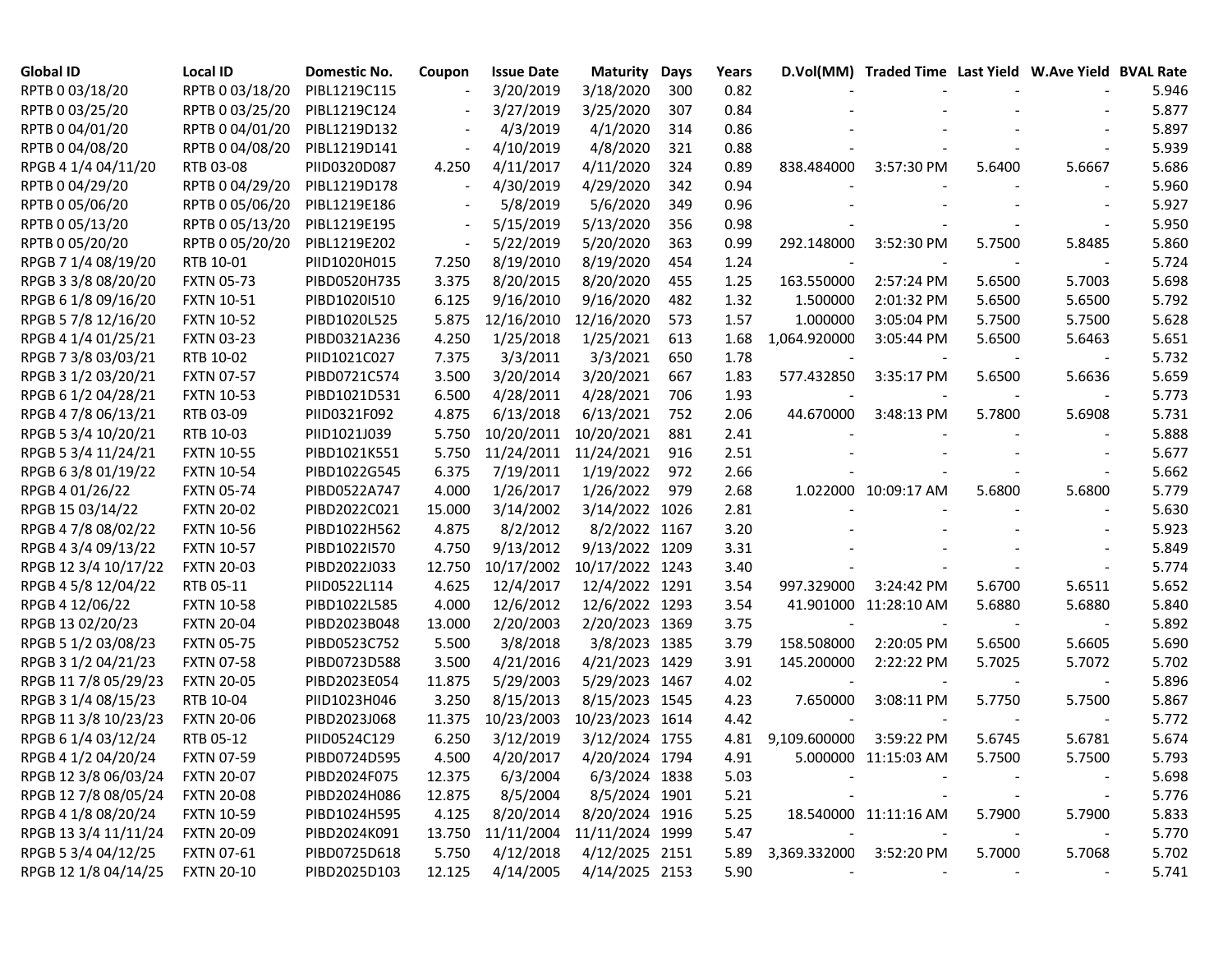| <b>Global ID</b>     | <b>Local ID</b>   | Domestic No. | Coupon                   | <b>Issue Date</b> | <b>Maturity</b> | Days | Years |                         | D.Vol(MM) Traded Time Last Yield W.Ave Yield BVAL Rate |        |        |       |
|----------------------|-------------------|--------------|--------------------------|-------------------|-----------------|------|-------|-------------------------|--------------------------------------------------------|--------|--------|-------|
| RPTB 0 03/18/20      | RPTB 0 03/18/20   | PIBL1219C115 |                          | 3/20/2019         | 3/18/2020       | 300  | 0.82  |                         |                                                        |        |        | 5.946 |
| RPTB 0 03/25/20      | RPTB 0 03/25/20   | PIBL1219C124 |                          | 3/27/2019         | 3/25/2020       | 307  | 0.84  |                         |                                                        |        |        | 5.877 |
| RPTB 0 04/01/20      | RPTB 0 04/01/20   | PIBL1219D132 |                          | 4/3/2019          | 4/1/2020        | 314  | 0.86  |                         |                                                        |        |        | 5.897 |
| RPTB 0 04/08/20      | RPTB 0 04/08/20   | PIBL1219D141 |                          | 4/10/2019         | 4/8/2020        | 321  | 0.88  |                         |                                                        |        |        | 5.939 |
| RPGB 4 1/4 04/11/20  | RTB 03-08         | PIID0320D087 | 4.250                    | 4/11/2017         | 4/11/2020       | 324  | 0.89  | 838.484000              | 3:57:30 PM                                             | 5.6400 | 5.6667 | 5.686 |
| RPTB 0 04/29/20      | RPTB 0 04/29/20   | PIBL1219D178 |                          | 4/30/2019         | 4/29/2020       | 342  | 0.94  |                         |                                                        |        |        | 5.960 |
| RPTB 0 05/06/20      | RPTB 0 05/06/20   | PIBL1219E186 | $\overline{\phantom{a}}$ | 5/8/2019          | 5/6/2020        | 349  | 0.96  |                         |                                                        |        |        | 5.927 |
| RPTB 0 05/13/20      | RPTB 0 05/13/20   | PIBL1219E195 | $\overline{\phantom{a}}$ | 5/15/2019         | 5/13/2020       | 356  | 0.98  |                         |                                                        |        |        | 5.950 |
| RPTB 0 05/20/20      | RPTB 0 05/20/20   | PIBL1219E202 | $\overline{\phantom{a}}$ | 5/22/2019         | 5/20/2020       | 363  | 0.99  | 292.148000              | 3:52:30 PM                                             | 5.7500 | 5.8485 | 5.860 |
| RPGB 7 1/4 08/19/20  | RTB 10-01         | PIID1020H015 | 7.250                    | 8/19/2010         | 8/19/2020       | 454  | 1.24  |                         |                                                        |        |        | 5.724 |
| RPGB 3 3/8 08/20/20  | <b>FXTN 05-73</b> | PIBD0520H735 | 3.375                    | 8/20/2015         | 8/20/2020       | 455  | 1.25  | 163.550000              | 2:57:24 PM                                             | 5.6500 | 5.7003 | 5.698 |
| RPGB 6 1/8 09/16/20  | <b>FXTN 10-51</b> | PIBD1020I510 | 6.125                    | 9/16/2010         | 9/16/2020       | 482  | 1.32  | 1.500000                | 2:01:32 PM                                             | 5.6500 | 5.6500 | 5.792 |
| RPGB 5 7/8 12/16/20  | <b>FXTN 10-52</b> | PIBD1020L525 | 5.875                    | 12/16/2010        | 12/16/2020      | 573  | 1.57  | 1.000000                | 3:05:04 PM                                             | 5.7500 | 5.7500 | 5.628 |
| RPGB 4 1/4 01/25/21  | <b>FXTN 03-23</b> | PIBD0321A236 | 4.250                    | 1/25/2018         | 1/25/2021       | 613  | 1.68  | 1,064.920000            | 3:05:44 PM                                             | 5.6500 | 5.6463 | 5.651 |
| RPGB 7 3/8 03/03/21  | RTB 10-02         | PIID1021C027 | 7.375                    | 3/3/2011          | 3/3/2021        | 650  | 1.78  |                         |                                                        |        |        | 5.732 |
| RPGB 3 1/2 03/20/21  | <b>FXTN 07-57</b> | PIBD0721C574 | 3.500                    | 3/20/2014         | 3/20/2021       | 667  | 1.83  | 577.432850              | 3:35:17 PM                                             | 5.6500 | 5.6636 | 5.659 |
| RPGB 6 1/2 04/28/21  | <b>FXTN 10-53</b> | PIBD1021D531 | 6.500                    | 4/28/2011         | 4/28/2021       | 706  | 1.93  |                         |                                                        |        |        | 5.773 |
| RPGB 4 7/8 06/13/21  | RTB 03-09         | PIID0321F092 | 4.875                    | 6/13/2018         | 6/13/2021       | 752  | 2.06  | 44.670000               | 3:48:13 PM                                             | 5.7800 | 5.6908 | 5.731 |
| RPGB 5 3/4 10/20/21  | RTB 10-03         | PIID1021J039 | 5.750                    | 10/20/2011        | 10/20/2021      | 881  | 2.41  |                         |                                                        |        |        | 5.888 |
| RPGB 5 3/4 11/24/21  | <b>FXTN 10-55</b> | PIBD1021K551 | 5.750                    | 11/24/2011        | 11/24/2021      | 916  | 2.51  |                         |                                                        |        |        | 5.677 |
| RPGB 6 3/8 01/19/22  | <b>FXTN 10-54</b> | PIBD1022G545 | 6.375                    | 7/19/2011         | 1/19/2022       | 972  | 2.66  |                         |                                                        |        |        | 5.662 |
| RPGB 4 01/26/22      | <b>FXTN 05-74</b> | PIBD0522A747 | 4.000                    | 1/26/2017         | 1/26/2022       | 979  | 2.68  |                         | 1.022000 10:09:17 AM                                   | 5.6800 | 5.6800 | 5.779 |
| RPGB 15 03/14/22     | <b>FXTN 20-02</b> | PIBD2022C021 | 15.000                   | 3/14/2002         | 3/14/2022 1026  |      | 2.81  |                         |                                                        |        |        | 5.630 |
| RPGB 4 7/8 08/02/22  | <b>FXTN 10-56</b> | PIBD1022H562 | 4.875                    | 8/2/2012          | 8/2/2022 1167   |      | 3.20  |                         |                                                        |        |        | 5.923 |
| RPGB 4 3/4 09/13/22  | <b>FXTN 10-57</b> | PIBD1022I570 | 4.750                    | 9/13/2012         | 9/13/2022 1209  |      | 3.31  |                         |                                                        |        |        | 5.849 |
| RPGB 12 3/4 10/17/22 | <b>FXTN 20-03</b> | PIBD2022J033 | 12.750                   | 10/17/2002        | 10/17/2022 1243 |      | 3.40  |                         |                                                        |        |        | 5.774 |
| RPGB 4 5/8 12/04/22  | RTB 05-11         | PIID0522L114 | 4.625                    | 12/4/2017         | 12/4/2022 1291  |      | 3.54  | 997.329000              | 3:24:42 PM                                             | 5.6700 | 5.6511 | 5.652 |
| RPGB 4 12/06/22      | <b>FXTN 10-58</b> | PIBD1022L585 | 4.000                    | 12/6/2012         | 12/6/2022 1293  |      | 3.54  |                         | 41.901000 11:28:10 AM                                  | 5.6880 | 5.6880 | 5.840 |
| RPGB 13 02/20/23     | <b>FXTN 20-04</b> | PIBD2023B048 | 13.000                   | 2/20/2003         | 2/20/2023 1369  |      | 3.75  |                         |                                                        |        |        | 5.892 |
| RPGB 5 1/2 03/08/23  | <b>FXTN 05-75</b> | PIBD0523C752 | 5.500                    | 3/8/2018          | 3/8/2023 1385   |      | 3.79  | 158.508000              | 2:20:05 PM                                             | 5.6500 | 5.6605 | 5.690 |
| RPGB 3 1/2 04/21/23  | <b>FXTN 07-58</b> | PIBD0723D588 | 3.500                    | 4/21/2016         | 4/21/2023 1429  |      | 3.91  | 145.200000              | 2:22:22 PM                                             | 5.7025 | 5.7072 | 5.702 |
| RPGB 11 7/8 05/29/23 | <b>FXTN 20-05</b> | PIBD2023E054 | 11.875                   | 5/29/2003         | 5/29/2023 1467  |      | 4.02  |                         |                                                        |        |        | 5.896 |
| RPGB 3 1/4 08/15/23  | RTB 10-04         | PIID1023H046 | 3.250                    | 8/15/2013         | 8/15/2023 1545  |      | 4.23  | 7.650000                | 3:08:11 PM                                             | 5.7750 | 5.7500 | 5.867 |
| RPGB 11 3/8 10/23/23 | <b>FXTN 20-06</b> | PIBD2023J068 | 11.375                   | 10/23/2003        | 10/23/2023 1614 |      | 4.42  |                         |                                                        |        |        | 5.772 |
| RPGB 6 1/4 03/12/24  | RTB 05-12         | PIID0524C129 | 6.250                    | 3/12/2019         | 3/12/2024 1755  |      | 4.81  | 9,109.600000            | 3:59:22 PM                                             | 5.6745 | 5.6781 | 5.674 |
| RPGB 4 1/2 04/20/24  | <b>FXTN 07-59</b> | PIBD0724D595 | 4.500                    | 4/20/2017         | 4/20/2024 1794  |      | 4.91  |                         | 5.000000 11:15:03 AM                                   | 5.7500 | 5.7500 | 5.793 |
| RPGB 12 3/8 06/03/24 | <b>FXTN 20-07</b> | PIBD2024F075 | 12.375                   | 6/3/2004          | 6/3/2024 1838   |      | 5.03  |                         |                                                        |        |        | 5.698 |
| RPGB 12 7/8 08/05/24 | <b>FXTN 20-08</b> | PIBD2024H086 | 12.875                   | 8/5/2004          | 8/5/2024 1901   |      | 5.21  |                         |                                                        |        |        | 5.776 |
| RPGB 4 1/8 08/20/24  | <b>FXTN 10-59</b> | PIBD1024H595 | 4.125                    | 8/20/2014         | 8/20/2024 1916  |      | 5.25  |                         | 18.540000 11:11:16 AM                                  | 5.7900 | 5.7900 | 5.833 |
| RPGB 13 3/4 11/11/24 | <b>FXTN 20-09</b> | PIBD2024K091 | 13.750                   | 11/11/2004        | 11/11/2024 1999 |      | 5.47  |                         |                                                        |        |        | 5.770 |
| RPGB 5 3/4 04/12/25  | <b>FXTN 07-61</b> | PIBD0725D618 | 5.750                    | 4/12/2018         | 4/12/2025 2151  |      | 5.89  | 3,369.332000 3:52:20 PM |                                                        | 5.7000 | 5.7068 | 5.702 |
| RPGB 12 1/8 04/14/25 | <b>FXTN 20-10</b> | PIBD2025D103 | 12.125                   | 4/14/2005         | 4/14/2025 2153  |      | 5.90  |                         |                                                        |        |        | 5.741 |